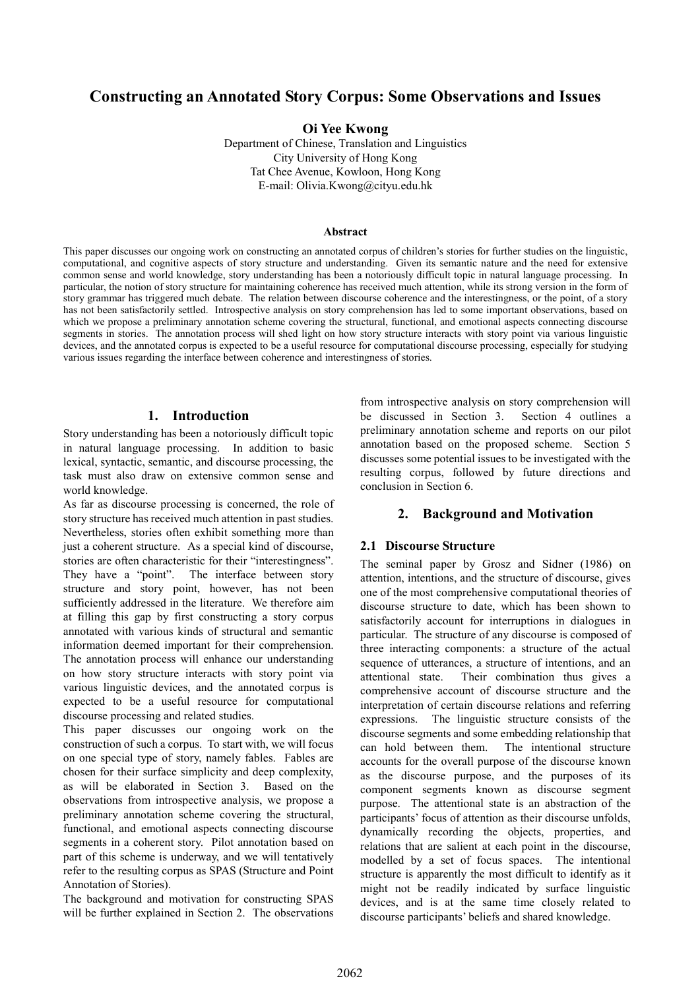# **Constructing an Annotated Story Corpus: Some Observations and Issues**

**Oi Yee Kwong** 

Department of Chinese, Translation and Linguistics City University of Hong Kong Tat Chee Avenue, Kowloon, Hong Kong E-mail: Olivia.Kwong@cityu.edu.hk

#### **Abstract**

This paper discusses our ongoing work on constructing an annotated corpus of children's stories for further studies on the linguistic, computational, and cognitive aspects of story structure and understanding. Given its semantic nature and the need for extensive common sense and world knowledge, story understanding has been a notoriously difficult topic in natural language processing. In particular, the notion of story structure for maintaining coherence has received much attention, while its strong version in the form of story grammar has triggered much debate. The relation between discourse coherence and the interestingness, or the point, of a story has not been satisfactorily settled. Introspective analysis on story comprehension has led to some important observations, based on which we propose a preliminary annotation scheme covering the structural, functional, and emotional aspects connecting discourse segments in stories. The annotation process will shed light on how story structure interacts with story point via various linguistic devices, and the annotated corpus is expected to be a useful resource for computational discourse processing, especially for studying various issues regarding the interface between coherence and interestingness of stories.

#### **1. Introduction**

Story understanding has been a notoriously difficult topic in natural language processing. In addition to basic lexical, syntactic, semantic, and discourse processing, the task must also draw on extensive common sense and world knowledge.

As far as discourse processing is concerned, the role of story structure has received much attention in past studies. Nevertheless, stories often exhibit something more than just a coherent structure. As a special kind of discourse, stories are often characteristic for their "interestingness". They have a "point". The interface between story structure and story point, however, has not been sufficiently addressed in the literature. We therefore aim at filling this gap by first constructing a story corpus annotated with various kinds of structural and semantic information deemed important for their comprehension. The annotation process will enhance our understanding on how story structure interacts with story point via various linguistic devices, and the annotated corpus is expected to be a useful resource for computational discourse processing and related studies.

This paper discusses our ongoing work on the construction of such a corpus. To start with, we will focus on one special type of story, namely fables. Fables are chosen for their surface simplicity and deep complexity, as will be elaborated in Section 3. Based on the observations from introspective analysis, we propose a preliminary annotation scheme covering the structural, functional, and emotional aspects connecting discourse segments in a coherent story. Pilot annotation based on part of this scheme is underway, and we will tentatively refer to the resulting corpus as SPAS (Structure and Point Annotation of Stories).

The background and motivation for constructing SPAS will be further explained in Section 2. The observations

from introspective analysis on story comprehension will be discussed in Section 3. Section 4 outlines a preliminary annotation scheme and reports on our pilot annotation based on the proposed scheme. Section 5 discusses some potential issues to be investigated with the resulting corpus, followed by future directions and conclusion in Section 6.

# **2. Background and Motivation**

#### **2.1 Discourse Structure**

The seminal paper by Grosz and Sidner (1986) on attention, intentions, and the structure of discourse, gives one of the most comprehensive computational theories of discourse structure to date, which has been shown to satisfactorily account for interruptions in dialogues in particular. The structure of any discourse is composed of three interacting components: a structure of the actual sequence of utterances, a structure of intentions, and an attentional state. Their combination thus gives a comprehensive account of discourse structure and the interpretation of certain discourse relations and referring expressions. The linguistic structure consists of the discourse segments and some embedding relationship that can hold between them. The intentional structure accounts for the overall purpose of the discourse known as the discourse purpose, and the purposes of its component segments known as discourse segment purpose. The attentional state is an abstraction of the participants' focus of attention as their discourse unfolds, dynamically recording the objects, properties, and relations that are salient at each point in the discourse, modelled by a set of focus spaces. The intentional structure is apparently the most difficult to identify as it might not be readily indicated by surface linguistic devices, and is at the same time closely related to discourse participants' beliefs and shared knowledge.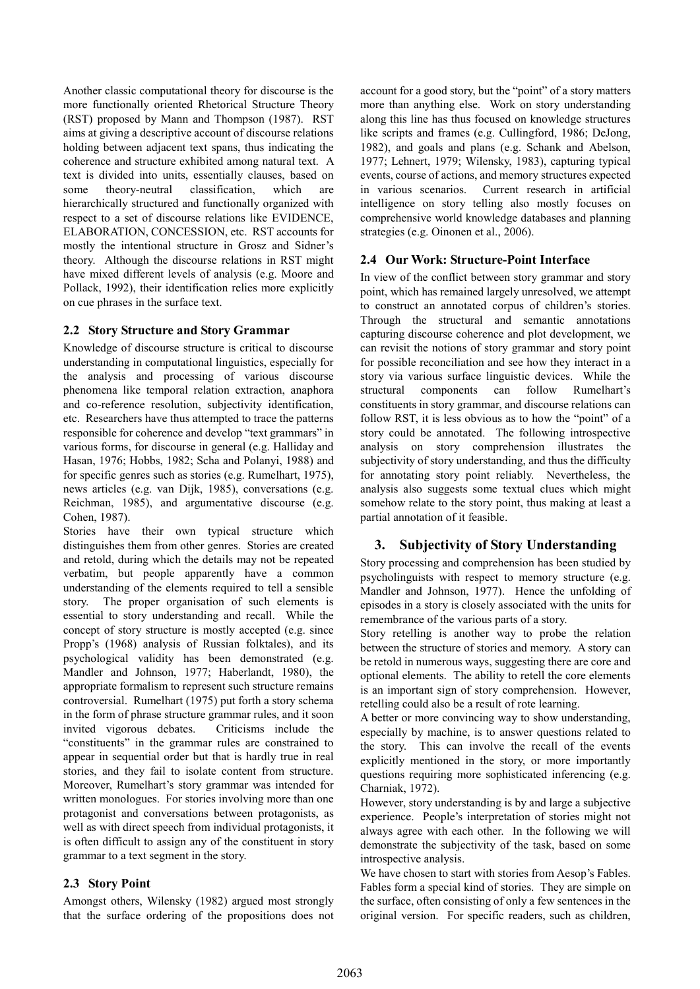Another classic computational theory for discourse is the more functionally oriented Rhetorical Structure Theory (RST) proposed by Mann and Thompson (1987). RST aims at giving a descriptive account of discourse relations holding between adjacent text spans, thus indicating the coherence and structure exhibited among natural text. A text is divided into units, essentially clauses, based on some theory-neutral classification, which are hierarchically structured and functionally organized with respect to a set of discourse relations like EVIDENCE, ELABORATION, CONCESSION, etc. RST accounts for mostly the intentional structure in Grosz and Sidner's theory. Although the discourse relations in RST might have mixed different levels of analysis (e.g. Moore and Pollack, 1992), their identification relies more explicitly on cue phrases in the surface text.

#### **2.2 Story Structure and Story Grammar**

Knowledge of discourse structure is critical to discourse understanding in computational linguistics, especially for the analysis and processing of various discourse phenomena like temporal relation extraction, anaphora and co-reference resolution, subjectivity identification, etc. Researchers have thus attempted to trace the patterns responsible for coherence and develop "text grammars" in various forms, for discourse in general (e.g. Halliday and Hasan, 1976; Hobbs, 1982; Scha and Polanyi, 1988) and for specific genres such as stories (e.g. Rumelhart, 1975), news articles (e.g. van Dijk, 1985), conversations (e.g. Reichman, 1985), and argumentative discourse (e.g. Cohen, 1987).

Stories have their own typical structure which distinguishes them from other genres. Stories are created and retold, during which the details may not be repeated verbatim, but people apparently have a common understanding of the elements required to tell a sensible story. The proper organisation of such elements is essential to story understanding and recall. While the concept of story structure is mostly accepted (e.g. since Propp's (1968) analysis of Russian folktales), and its psychological validity has been demonstrated (e.g. Mandler and Johnson, 1977; Haberlandt, 1980), the appropriate formalism to represent such structure remains controversial. Rumelhart (1975) put forth a story schema in the form of phrase structure grammar rules, and it soon invited vigorous debates. Criticisms include the "constituents" in the grammar rules are constrained to appear in sequential order but that is hardly true in real stories, and they fail to isolate content from structure. Moreover, Rumelhart's story grammar was intended for written monologues. For stories involving more than one protagonist and conversations between protagonists, as well as with direct speech from individual protagonists, it is often difficult to assign any of the constituent in story grammar to a text segment in the story.

#### **2.3 Story Point**

Amongst others, Wilensky (1982) argued most strongly that the surface ordering of the propositions does not

account for a good story, but the "point" of a story matters more than anything else. Work on story understanding along this line has thus focused on knowledge structures like scripts and frames (e.g. Cullingford, 1986; DeJong, 1982), and goals and plans (e.g. Schank and Abelson, 1977; Lehnert, 1979; Wilensky, 1983), capturing typical events, course of actions, and memory structures expected in various scenarios. Current research in artificial intelligence on story telling also mostly focuses on comprehensive world knowledge databases and planning strategies (e.g. Oinonen et al., 2006).

#### **2.4 Our Work: Structure-Point Interface**

In view of the conflict between story grammar and story point, which has remained largely unresolved, we attempt to construct an annotated corpus of children's stories. Through the structural and semantic annotations capturing discourse coherence and plot development, we can revisit the notions of story grammar and story point for possible reconciliation and see how they interact in a story via various surface linguistic devices. While the structural components can follow Rumelhart's constituents in story grammar, and discourse relations can follow RST, it is less obvious as to how the "point" of a story could be annotated. The following introspective analysis on story comprehension illustrates the subjectivity of story understanding, and thus the difficulty for annotating story point reliably. Nevertheless, the analysis also suggests some textual clues which might somehow relate to the story point, thus making at least a partial annotation of it feasible.

#### **3. Subjectivity of Story Understanding**

Story processing and comprehension has been studied by psycholinguists with respect to memory structure (e.g. Mandler and Johnson, 1977). Hence the unfolding of episodes in a story is closely associated with the units for remembrance of the various parts of a story.

Story retelling is another way to probe the relation between the structure of stories and memory. A story can be retold in numerous ways, suggesting there are core and optional elements. The ability to retell the core elements is an important sign of story comprehension. However, retelling could also be a result of rote learning.

A better or more convincing way to show understanding, especially by machine, is to answer questions related to the story. This can involve the recall of the events explicitly mentioned in the story, or more importantly questions requiring more sophisticated inferencing (e.g. Charniak, 1972).

However, story understanding is by and large a subjective experience. People's interpretation of stories might not always agree with each other. In the following we will demonstrate the subjectivity of the task, based on some introspective analysis.

We have chosen to start with stories from Aesop's Fables. Fables form a special kind of stories. They are simple on the surface, often consisting of only a few sentences in the original version. For specific readers, such as children,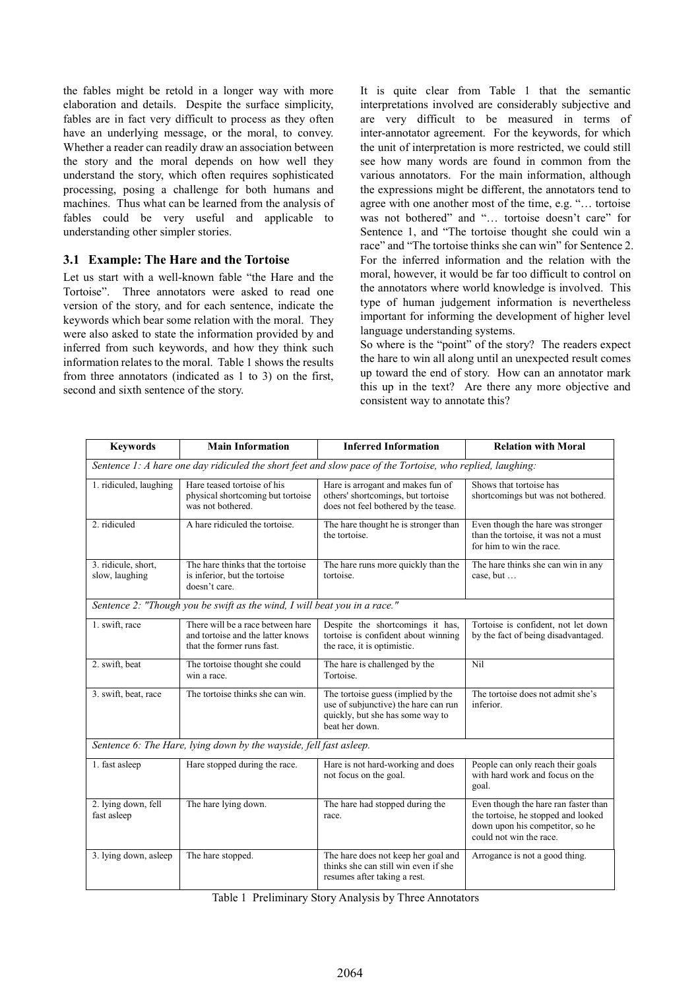the fables might be retold in a longer way with more elaboration and details. Despite the surface simplicity, fables are in fact very difficult to process as they often have an underlying message, or the moral, to convey. Whether a reader can readily draw an association between the story and the moral depends on how well they understand the story, which often requires sophisticated processing, posing a challenge for both humans and machines. Thus what can be learned from the analysis of fables could be very useful and applicable to understanding other simpler stories.

#### **3.1 Example: The Hare and the Tortoise**

Let us start with a well-known fable "the Hare and the Tortoise". Three annotators were asked to read one version of the story, and for each sentence, indicate the keywords which bear some relation with the moral. They were also asked to state the information provided by and inferred from such keywords, and how they think such information relates to the moral. Table 1 shows the results from three annotators (indicated as 1 to 3) on the first, second and sixth sentence of the story.

It is quite clear from Table 1 that the semantic interpretations involved are considerably subjective and are very difficult to be measured in terms of inter-annotator agreement. For the keywords, for which the unit of interpretation is more restricted, we could still see how many words are found in common from the various annotators. For the main information, although the expressions might be different, the annotators tend to agree with one another most of the time, e.g. "… tortoise was not bothered" and "… tortoise doesn't care" for Sentence 1, and "The tortoise thought she could win a race" and "The tortoise thinks she can win" for Sentence 2. For the inferred information and the relation with the moral, however, it would be far too difficult to control on the annotators where world knowledge is involved. This type of human judgement information is nevertheless important for informing the development of higher level language understanding systems.

So where is the "point" of the story? The readers expect the hare to win all along until an unexpected result comes up toward the end of story. How can an annotator mark this up in the text? Are there any more objective and consistent way to annotate this?

| <b>Keywords</b>                                                                                           | <b>Main Information</b>                                                                              | <b>Inferred Information</b>                                                                                                      | <b>Relation with Moral</b>                                                                                                                |  |
|-----------------------------------------------------------------------------------------------------------|------------------------------------------------------------------------------------------------------|----------------------------------------------------------------------------------------------------------------------------------|-------------------------------------------------------------------------------------------------------------------------------------------|--|
| Sentence 1: A hare one day ridiculed the short feet and slow pace of the Tortoise, who replied, laughing: |                                                                                                      |                                                                                                                                  |                                                                                                                                           |  |
| 1. ridiculed, laughing                                                                                    | Hare teased tortoise of his<br>physical shortcoming but tortoise<br>was not bothered.                | Hare is arrogant and makes fun of<br>others' shortcomings, but tortoise<br>does not feel bothered by the tease.                  | Shows that tortoise has<br>shortcomings but was not bothered.                                                                             |  |
| 2. ridiculed                                                                                              | A hare ridiculed the tortoise.                                                                       | The hare thought he is stronger than<br>the tortoise.                                                                            | Even though the hare was stronger<br>than the tortoise, it was not a must<br>for him to win the race.                                     |  |
| 3. ridicule, short,<br>slow, laughing                                                                     | The hare thinks that the tortoise<br>is inferior, but the tortoise<br>doesn't care.                  | The hare runs more quickly than the<br>tortoise.                                                                                 | The hare thinks she can win in any<br>case, but                                                                                           |  |
| Sentence 2: "Though you be swift as the wind, I will beat you in a race."                                 |                                                                                                      |                                                                                                                                  |                                                                                                                                           |  |
| 1. swift, race                                                                                            | There will be a race between hare<br>and tortoise and the latter knows<br>that the former runs fast. | Despite the shortcomings it has,<br>tortoise is confident about winning<br>the race, it is optimistic.                           | Tortoise is confident, not let down<br>by the fact of being disadvantaged.                                                                |  |
| 2. swift, beat                                                                                            | The tortoise thought she could<br>win a race.                                                        | The hare is challenged by the<br>Tortoise.                                                                                       | Nil                                                                                                                                       |  |
| 3. swift, beat, race                                                                                      | The tortoise thinks she can win.                                                                     | The tortoise guess (implied by the<br>use of subjunctive) the hare can run<br>quickly, but she has some way to<br>beat her down. | The tortoise does not admit she's<br>inferior.                                                                                            |  |
| Sentence 6: The Hare, lying down by the wayside, fell fast asleep.                                        |                                                                                                      |                                                                                                                                  |                                                                                                                                           |  |
| 1. fast asleep                                                                                            | Hare stopped during the race.                                                                        | Hare is not hard-working and does<br>not focus on the goal.                                                                      | People can only reach their goals<br>with hard work and focus on the<br>goal.                                                             |  |
| 2. lying down, fell<br>fast asleep                                                                        | The hare lying down.                                                                                 | The hare had stopped during the<br>race.                                                                                         | Even though the hare ran faster than<br>the tortoise, he stopped and looked<br>down upon his competitor, so he<br>could not win the race. |  |
| 3. lying down, asleep                                                                                     | The hare stopped.                                                                                    | The hare does not keep her goal and<br>thinks she can still win even if she<br>resumes after taking a rest.                      | Arrogance is not a good thing.                                                                                                            |  |

Table 1 Preliminary Story Analysis by Three Annotators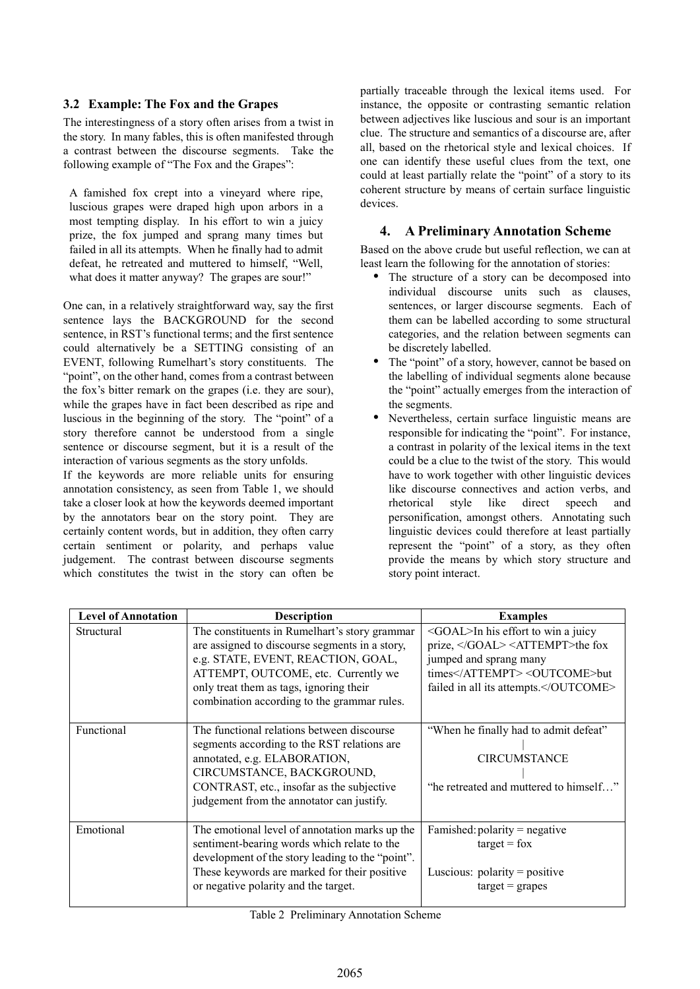### **3.2 Example: The Fox and the Grapes**

The interestingness of a story often arises from a twist in the story. In many fables, this is often manifested through a contrast between the discourse segments. Take the following example of "The Fox and the Grapes":

A famished fox crept into a vineyard where ripe, luscious grapes were draped high upon arbors in a most tempting display. In his effort to win a juicy prize, the fox jumped and sprang many times but failed in all its attempts. When he finally had to admit defeat, he retreated and muttered to himself, "Well, what does it matter anyway? The grapes are sour!"

One can, in a relatively straightforward way, say the first sentence lays the BACKGROUND for the second sentence, in RST's functional terms; and the first sentence could alternatively be a SETTING consisting of an EVENT, following Rumelhart's story constituents. The "point", on the other hand, comes from a contrast between the fox's bitter remark on the grapes (i.e. they are sour), while the grapes have in fact been described as ripe and luscious in the beginning of the story. The "point" of a story therefore cannot be understood from a single sentence or discourse segment, but it is a result of the interaction of various segments as the story unfolds.

If the keywords are more reliable units for ensuring annotation consistency, as seen from Table 1, we should take a closer look at how the keywords deemed important by the annotators bear on the story point. They are certainly content words, but in addition, they often carry certain sentiment or polarity, and perhaps value judgement. The contrast between discourse segments which constitutes the twist in the story can often be

partially traceable through the lexical items used. For instance, the opposite or contrasting semantic relation between adjectives like luscious and sour is an important clue. The structure and semantics of a discourse are, after all, based on the rhetorical style and lexical choices. If one can identify these useful clues from the text, one could at least partially relate the "point" of a story to its coherent structure by means of certain surface linguistic devices.

### **4. A Preliminary Annotation Scheme**

Based on the above crude but useful reflection, we can at least learn the following for the annotation of stories:

- The structure of a story can be decomposed into individual discourse units such as clauses, sentences, or larger discourse segments. Each of them can be labelled according to some structural categories, and the relation between segments can be discretely labelled.
- The "point" of a story, however, cannot be based on the labelling of individual segments alone because the "point" actually emerges from the interaction of the segments.
- Nevertheless, certain surface linguistic means are responsible for indicating the "point". For instance, a contrast in polarity of the lexical items in the text could be a clue to the twist of the story. This would have to work together with other linguistic devices like discourse connectives and action verbs, and rhetorical style like direct speech and personification, amongst others. Annotating such linguistic devices could therefore at least partially represent the "point" of a story, as they often provide the means by which story structure and story point interact.

| <b>Level of Annotation</b> | <b>Description</b>                                                                                                                                                                                                                                                     | <b>Examples</b>                                                                                                                                                               |  |
|----------------------------|------------------------------------------------------------------------------------------------------------------------------------------------------------------------------------------------------------------------------------------------------------------------|-------------------------------------------------------------------------------------------------------------------------------------------------------------------------------|--|
| Structural                 | The constituents in Rumelhart's story grammar<br>are assigned to discourse segments in a story,<br>e.g. STATE, EVENT, REACTION, GOAL,<br>ATTEMPT, OUTCOME, etc. Currently we<br>only treat them as tags, ignoring their<br>combination according to the grammar rules. | $\leq$ GOAL $>$ In his effort to win a juicy<br>prize, <attempt>the fox<br/>jumped and sprang many<br/>times</attempt> <outcome>but<br/>failed in all its attempts.</outcome> |  |
| Functional                 | The functional relations between discourse<br>segments according to the RST relations are<br>annotated, e.g. ELABORATION,<br>CIRCUMSTANCE, BACKGROUND,<br>CONTRAST, etc., insofar as the subjective<br>judgement from the annotator can justify.                       | "When he finally had to admit defeat"<br><b>CIRCUMSTANCE</b><br>"he retreated and muttered to himself"                                                                        |  |
| Emotional                  | The emotional level of annotation marks up the<br>sentiment-bearing words which relate to the<br>development of the story leading to the "point".<br>These keywords are marked for their positive<br>or negative polarity and the target.                              | Famished: $polarity = negative$<br>$target = fox$<br>Luscious: $polarity = positive$<br>$target = graphs$                                                                     |  |

Table 2 Preliminary Annotation Scheme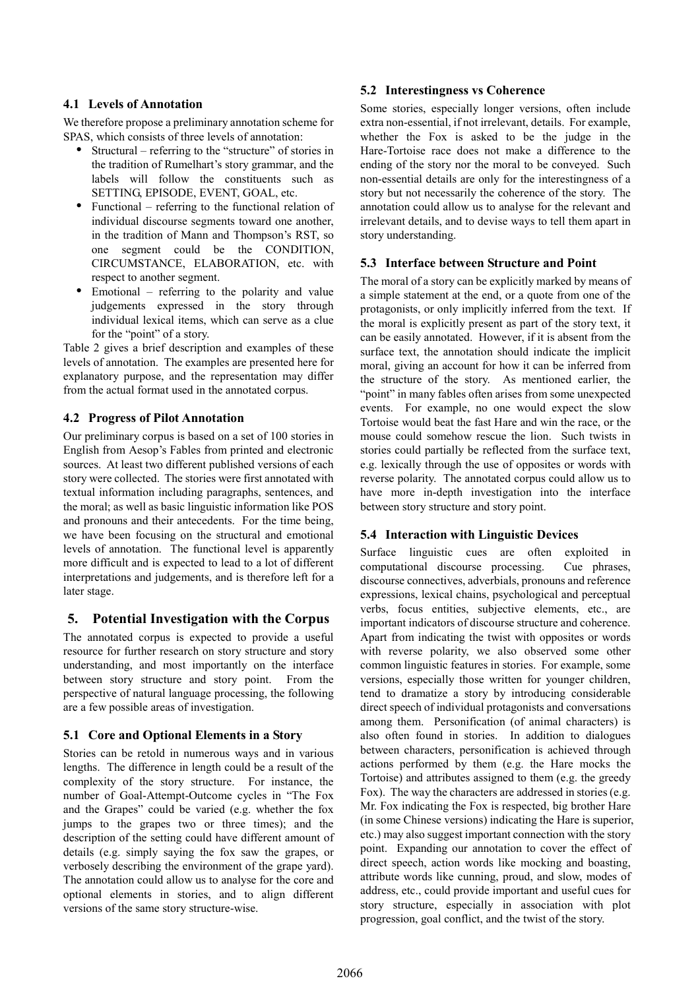### **4.1 Levels of Annotation**

We therefore propose a preliminary annotation scheme for SPAS, which consists of three levels of annotation:

- Structural referring to the "structure" of stories in the tradition of Rumelhart's story grammar, and the labels will follow the constituents such as SETTING, EPISODE, EVENT, GOAL, etc.
- Functional referring to the functional relation of individual discourse segments toward one another, in the tradition of Mann and Thompson's RST, so one segment could be the CONDITION, CIRCUMSTANCE, ELABORATION, etc. with respect to another segment.
- Emotional referring to the polarity and value judgements expressed in the story through individual lexical items, which can serve as a clue for the "point" of a story.

Table 2 gives a brief description and examples of these levels of annotation. The examples are presented here for explanatory purpose, and the representation may differ from the actual format used in the annotated corpus.

### **4.2 Progress of Pilot Annotation**

Our preliminary corpus is based on a set of 100 stories in English from Aesop's Fables from printed and electronic sources. At least two different published versions of each story were collected. The stories were first annotated with textual information including paragraphs, sentences, and the moral; as well as basic linguistic information like POS and pronouns and their antecedents. For the time being, we have been focusing on the structural and emotional levels of annotation. The functional level is apparently more difficult and is expected to lead to a lot of different interpretations and judgements, and is therefore left for a later stage.

# **5. Potential Investigation with the Corpus**

The annotated corpus is expected to provide a useful resource for further research on story structure and story understanding, and most importantly on the interface between story structure and story point. From the perspective of natural language processing, the following are a few possible areas of investigation.

#### **5.1 Core and Optional Elements in a Story**

Stories can be retold in numerous ways and in various lengths. The difference in length could be a result of the complexity of the story structure. For instance, the number of Goal-Attempt-Outcome cycles in "The Fox and the Grapes" could be varied (e.g. whether the fox jumps to the grapes two or three times); and the description of the setting could have different amount of details (e.g. simply saying the fox saw the grapes, or verbosely describing the environment of the grape yard). The annotation could allow us to analyse for the core and optional elements in stories, and to align different versions of the same story structure-wise.

### **5.2 Interestingness vs Coherence**

Some stories, especially longer versions, often include extra non-essential, if not irrelevant, details. For example, whether the Fox is asked to be the judge in the Hare-Tortoise race does not make a difference to the ending of the story nor the moral to be conveyed. Such non-essential details are only for the interestingness of a story but not necessarily the coherence of the story. The annotation could allow us to analyse for the relevant and irrelevant details, and to devise ways to tell them apart in story understanding.

#### **5.3 Interface between Structure and Point**

The moral of a story can be explicitly marked by means of a simple statement at the end, or a quote from one of the protagonists, or only implicitly inferred from the text. If the moral is explicitly present as part of the story text, it can be easily annotated. However, if it is absent from the surface text, the annotation should indicate the implicit moral, giving an account for how it can be inferred from the structure of the story. As mentioned earlier, the "point" in many fables often arises from some unexpected events. For example, no one would expect the slow Tortoise would beat the fast Hare and win the race, or the mouse could somehow rescue the lion. Such twists in stories could partially be reflected from the surface text, e.g. lexically through the use of opposites or words with reverse polarity. The annotated corpus could allow us to have more in-depth investigation into the interface between story structure and story point.

#### **5.4 Interaction with Linguistic Devices**

Surface linguistic cues are often exploited in computational discourse processing. Cue phrases, discourse connectives, adverbials, pronouns and reference expressions, lexical chains, psychological and perceptual verbs, focus entities, subjective elements, etc., are important indicators of discourse structure and coherence. Apart from indicating the twist with opposites or words with reverse polarity, we also observed some other common linguistic features in stories. For example, some versions, especially those written for younger children, tend to dramatize a story by introducing considerable direct speech of individual protagonists and conversations among them. Personification (of animal characters) is also often found in stories. In addition to dialogues between characters, personification is achieved through actions performed by them (e.g. the Hare mocks the Tortoise) and attributes assigned to them (e.g. the greedy Fox). The way the characters are addressed in stories (e.g. Mr. Fox indicating the Fox is respected, big brother Hare (in some Chinese versions) indicating the Hare is superior, etc.) may also suggest important connection with the story point. Expanding our annotation to cover the effect of direct speech, action words like mocking and boasting, attribute words like cunning, proud, and slow, modes of address, etc., could provide important and useful cues for story structure, especially in association with plot progression, goal conflict, and the twist of the story.